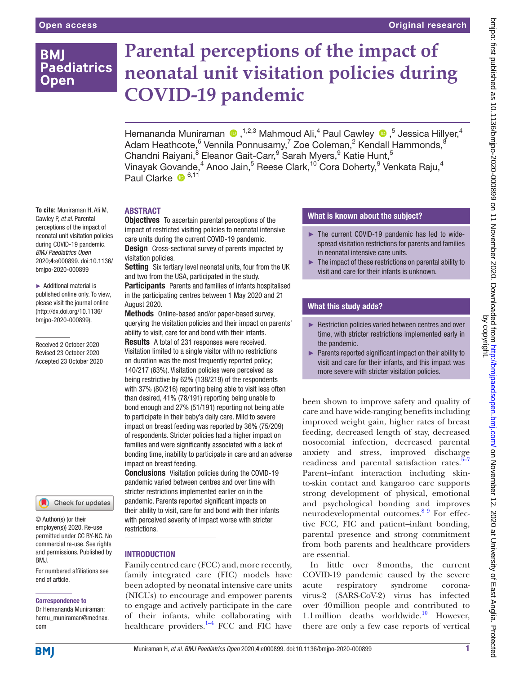# **BMI Paediatrics Open**

# **Parental perceptions of the impact of neonatal unit visitation policies during COVID-19 pandemic**

Hemananda Muniraman (D, 1,2,3 Mahmoud Ali,<sup>4</sup> Paul Cawley (D, <sup>5</sup> Jessica Hillyer,<sup>4</sup> Adam Heathcote, $^6$  Vennila Ponnusamy, $^7$  Zoe Coleman, $^2$  Kendall Hammonds, $^8$ Chandni Raiyani,<sup>8</sup> Eleanor Gait-Carr,<sup>9</sup> Sarah Myers,<sup>9</sup> Katie Hunt,<sup>5</sup> Vinayak Govande, $^4$  Anoo Jain, $^5$  Reese Clark, $^{10}$  Cora Doherty, $^9$  Venkata Raju, $^4$ Paul Clarke <sup>6,11</sup>

#### **To cite:** Muniraman H, Ali M, Cawley P, *et al*. Parental perceptions of the impact of neonatal unit visitation policies during COVID-19 pandemic.

*BMJ Paediatrics Open* 2020;4:e000899. doi:10.1136/ bmjpo-2020-000899

► Additional material is published online only. To view, please visit the journal online (http://dx.doi.org/10.1136/ bmjpo-2020-000899).

Received 2 October 2020 Revised 23 October 2020 Accepted 23 October 2020



© Author(s) (or their employer(s)) 2020. Re-use permitted under CC BY-NC. No commercial re-use. See rights and permissions. Published by BMJ.

For numbered affiliations see end of article.

#### Correspondence to

Dr Hemananda Muniraman; hemu\_muniraman@mednax. com

# ABSTRACT

**Objectives** To ascertain parental perceptions of the impact of restricted visiting policies to neonatal intensive care units during the current COVID-19 pandemic.

**Design** Cross-sectional survey of parents impacted by visitation policies.

Setting Six tertiary level neonatal units, four from the UK and two from the USA, participated in the study.

**Participants** Parents and families of infants hospitalised in the participating centres between 1 May 2020 and 21 August 2020.

Methods Online-based and/or paper-based survey, querying the visitation policies and their impact on parents' ability to visit, care for and bond with their infants.

Results A total of 231 responses were received. Visitation limited to a single visitor with no restrictions on duration was the most frequently reported policy; 140/217 (63%). Visitation policies were perceived as being restrictive by 62% (138/219) of the respondents with 37% (80/216) reporting being able to visit less often than desired, 41% (78/191) reporting being unable to bond enough and 27% (51/191) reporting not being able to participate in their baby's daily care. Mild to severe impact on breast feeding was reported by 36% (75/209) of respondents. Stricter policies had a higher impact on families and were significantly associated with a lack of bonding time, inability to participate in care and an adverse impact on breast feeding.

Conclusions Visitation policies during the COVID-19 pandemic varied between centres and over time with stricter restrictions implemented earlier on in the pandemic. Parents reported significant impacts on their ability to visit, care for and bond with their infants with perceived severity of impact worse with stricter restrictions.

# **INTRODUCTION**

Family centred care (FCC) and, more recently, family integrated care (FIC) models have been adopted by neonatal intensive care units (NICUs) to encourage and empower parents to engage and actively participate in the care of their infants, while collaborating with healthcare providers.<sup>1-4</sup> FCC and FIC have

# What is known about the subject?

- ► The current COVID-19 pandemic has led to widespread visitation restrictions for parents and families in neonatal intensive care units.
- ► The impact of these restrictions on parental ability to visit and care for their infants is unknown.

# What this study adds?

- ► Restriction policies varied between centres and over time, with stricter restrictions implemented early in the pandemic.
- ► Parents reported significant impact on their ability to visit and care for their infants, and this impact was more severe with stricter visitation policies.

been shown to improve safety and quality of care and have wide-ranging benefits including improved weight gain, higher rates of breast feeding, decreased length of stay, decreased nosocomial infection, decreased parental anxiety and stress, improved discharge readiness and parental satisfaction rates.<sup>5-7</sup> Parent–infant interaction including skinto-skin contact and kangaroo care supports strong development of physical, emotional and psychological bonding and improves neurodevelopmental outcomes.<sup>89</sup> For effective FCC, FIC and patient–infant bonding, parental presence and strong commitment from both parents and healthcare providers are essential.

In little over 8months, the current COVID-19 pandemic caused by the severe acute respiratory syndrome coronavirus-2 (SARS-CoV-2) virus has infected over 40million people and contributed to 1.1 million deaths worldwide.<sup>10</sup> However, there are only a few case reports of vertical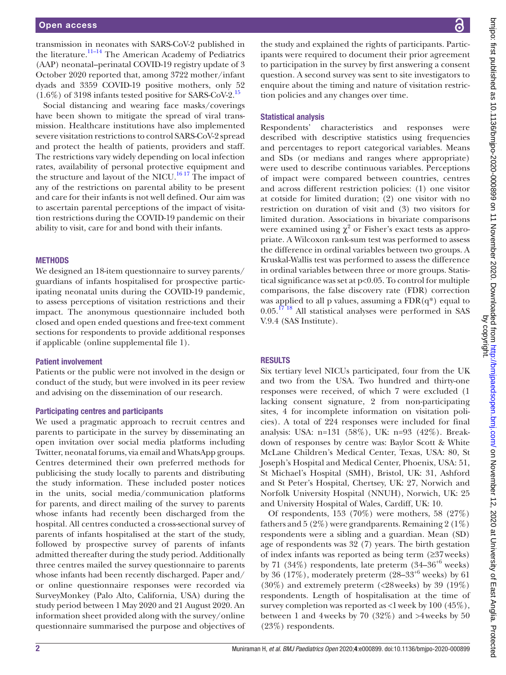transmission in neonates with SARS-CoV-2 published in the literature.<sup>[11–14](#page-7-4)</sup> The American Academy of Pediatrics (AAP) neonatal–perinatal COVID-19 registry update of 3 October 2020 reported that, among 3722 mother/infant dyads and 3359 COVID-19 positive mothers, only 52  $(1.6\%)$  of 3198 infants tested positive for SARS-CoV-2.<sup>15</sup>

Social distancing and wearing face masks/coverings have been shown to mitigate the spread of viral transmission. Healthcare institutions have also implemented severe visitation restrictions to control SARS-CoV-2 spread and protect the health of patients, providers and staff. The restrictions vary widely depending on local infection rates, availability of personal protective equipment and the structure and layout of the NICU.<sup>[16 17](#page-7-6)</sup> The impact of any of the restrictions on parental ability to be present and care for their infants is not well defined. Our aim was to ascertain parental perceptions of the impact of visitation restrictions during the COVID-19 pandemic on their ability to visit, care for and bond with their infants.

#### **METHODS**

We designed an 18-item questionnaire to survey parents/ guardians of infants hospitalised for prospective participating neonatal units during the COVID-19 pandemic, to assess perceptions of visitation restrictions and their impact. The anonymous questionnaire included both closed and open ended questions and free-text comment sections for respondents to provide additional responses if applicable [\(online supplemental file 1\)](https://dx.doi.org/10.1136/bmjpo-2020-000899).

#### Patient involvement

Patients or the public were not involved in the design or conduct of the study, but were involved in its peer review and advising on the dissemination of our research.

#### Participating centres and participants

We used a pragmatic approach to recruit centres and parents to participate in the survey by disseminating an open invitation over social media platforms including Twitter, neonatal forums, via email and WhatsApp groups. Centres determined their own preferred methods for publicising the study locally to parents and distributing the study information. These included poster notices in the units, social media/communication platforms for parents, and direct mailing of the survey to parents whose infants had recently been discharged from the hospital. All centres conducted a cross-sectional survey of parents of infants hospitalised at the start of the study, followed by prospective survey of parents of infants admitted thereafter during the study period. Additionally three centres mailed the survey questionnaire to parents whose infants had been recently discharged. Paper and/ or online questionnaire responses were recorded via SurveyMonkey (Palo Alto, California, USA) during the study period between 1 May 2020 and 21 August 2020. An information sheet provided along with the survey/online questionnaire summarised the purpose and objectives of

the study and explained the rights of participants. Participants were required to document their prior agreement to participation in the survey by first answering a consent question. A second survey was sent to site investigators to enquire about the timing and nature of visitation restriction policies and any changes over time.

#### Statistical analysis

Respondents' characteristics and responses were described with descriptive statistics using frequencies and percentages to report categorical variables. Means and SDs (or medians and ranges where appropriate) were used to describe continuous variables. Perceptions of impact were compared between countries, centres and across different restriction policies: (1) one visitor at cotside for limited duration; (2) one visitor with no restriction on duration of visit and (3) two visitors for limited duration. Associations in bivariate comparisons were examined using  $\chi^2$  or Fisher's exact tests as appropriate. A Wilcoxon rank-sum test was performed to assess the difference in ordinal variables between two groups. A Kruskal-Wallis test was performed to assess the difference in ordinal variables between three or more groups. Statistical significance was set at p<0.05. To control for multiple comparisons, the false discovery rate (FDR) correction was applied to all p values, assuming a  $FDR(q^*)$  equal to  $0.05$ .<sup>1718</sup> All statistical analyses were performed in SAS V.9.4 (SAS Institute).

#### RESULTS

Six tertiary level NICUs participated, four from the UK and two from the USA. Two hundred and thirty-one responses were received, of which 7 were excluded (1 lacking consent signature, 2 from non-participating sites, 4 for incomplete information on visitation policies). A total of 224 responses were included for final analysis: USA: n=131 (58%), UK: n=93 (42%). Breakdown of responses by centre was: Baylor Scott & White McLane Children's Medical Center, Texas, USA: 80, St Joseph's Hospital and Medical Center, Phoenix, USA: 51, St Michael's Hospital (SMH), Bristol, UK: 31, Ashford and St Peter's Hospital, Chertsey, UK: 27, Norwich and Norfolk University Hospital (NNUH), Norwich, UK: 25 and University Hospital of Wales, Cardiff, UK: 10.

Of respondents, 153 (70%) were mothers, 58 (27%) fathers and  $5(2\%)$  were grandparents. Remaining  $2(1\%)$ respondents were a sibling and a guardian. Mean (SD) age of respondents was 32 (7) years. The birth gestation of index infants was reported as being term (≥37weeks) by 71 (34%) respondents, late preterm (34–36<sup>+6</sup> weeks) by 36 (17%), moderately preterm (28–33+6 weeks) by 61 (30%) and extremely preterm (<28weeks) by 39 (19%) respondents. Length of hospitalisation at the time of survey completion was reported as  $\langle 1 \rangle$  week by 100 (45%), between 1 and 4weeks by 70 (32%) and >4weeks by 50 (23%) respondents.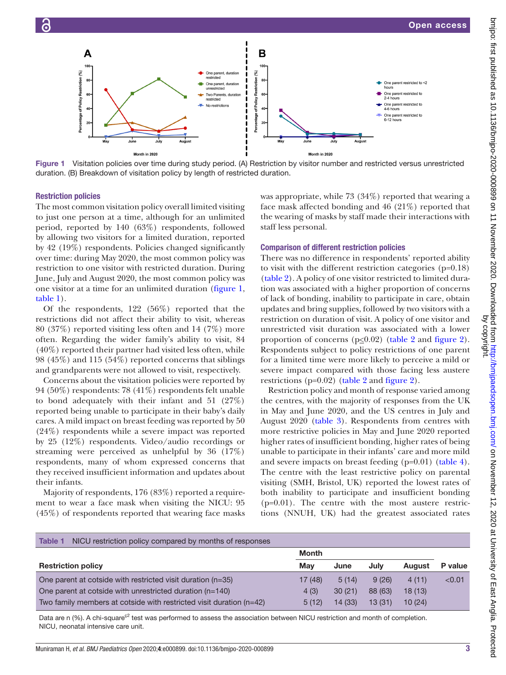A

of Policy Restriction (%)

Percentage

Restriction policies

[table](#page-2-1) 1).

their infants.

by allowing two visitors for a limited duration, reported by 42 (19%) respondents. Policies changed significantly over time: during May 2020, the most common policy was restriction to one visitor with restricted duration. During June, July and August 2020, the most common policy was one visitor at a time for an unlimited duration ([figure](#page-2-0) 1,

<span id="page-2-0"></span>Month in 2020

Of the respondents, 122 (56%) reported that the restrictions did not affect their ability to visit, whereas 80 (37%) reported visiting less often and 14 (7%) more often. Regarding the wider family's ability to visit, 84  $(40\%)$  reported their partner had visited less often, while 98 (45%) and 115 (54%) reported concerns that siblings and grandparents were not allowed to visit, respectively. Concerns about the visitation policies were reported by 94 (50%) respondents: 78 (41%) respondents felt unable to bond adequately with their infant and 51 (27%) reported being unable to participate in their baby's daily cares. A mild impact on breast feeding was reported by 50 (24%) respondents while a severe impact was reported by 25 (12%) respondents. Video/audio recordings or streaming were perceived as unhelpful by 36 (17%) respondents, many of whom expressed concerns that they received insufficient information and updates about

Majority of respondents, 176 (83%) reported a requirement to wear a face mask when visiting the NICU: 95 (45%) of respondents reported that wearing face masks



# Comparison of different restriction policies

There was no difference in respondents' reported ability to visit with the different restriction categories (p=0.18) [\(table](#page-3-0) 2). A policy of one visitor restricted to limited duration was associated with a higher proportion of concerns of lack of bonding, inability to participate in care, obtain updates and bring supplies, followed by two visitors with a restriction on duration of visit. A policy of one visitor and unrestricted visit duration was associated with a lower proportion of concerns ( $p \le 0.02$ ) ([table](#page-3-0) 2 and [figure](#page-4-0) 2). Respondents subject to policy restrictions of one parent for a limited time were more likely to perceive a mild or severe impact compared with those facing less austere restrictions (p=0.02) ([table](#page-3-0) 2 and [figure](#page-4-0) 2).

Restriction policy and month of response varied among the centres, with the majority of responses from the UK in May and June 2020, and the US centres in July and August 2020 ([table](#page-5-0) 3). Respondents from centres with more restrictive policies in May and June 2020 reported higher rates of insufficient bonding, higher rates of being unable to participate in their infants' care and more mild and severe impacts on breast feeding (p=0.01) ([table](#page-5-1) 4). The centre with the least restrictive policy on parental visiting (SMH, Bristol, UK) reported the lowest rates of both inability to participate and insufficient bonding (p=0.01). The centre with the most austere restrictions (NNUH, UK) had the greatest associated rates

<span id="page-2-1"></span>

| NICU restriction policy compared by months of responses<br>Table 1    |              |         |         |               |         |
|-----------------------------------------------------------------------|--------------|---------|---------|---------------|---------|
|                                                                       | <b>Month</b> |         |         |               |         |
| <b>Restriction policy</b>                                             | Mav          | June    | July    | <b>August</b> | P value |
| One parent at cotside with restricted visit duration (n=35)           | 17 (48)      | 5(14)   | 9(26)   | 4(11)         | < 0.01  |
| One parent at cotside with unrestricted duration $(n=140)$            | 4(3)         | 30(21)  | 88 (63) | 18(13)        |         |
| Two family members at cotside with restricted visit duration $(n=42)$ | 5(12)        | 14 (33) | 13(31)  | 10(24)        |         |

Data are n (%). A chi-square<sup>c2</sup> test was performed to assess the association between NICU restriction and month of completion. NICU, neonatal intensive care unit.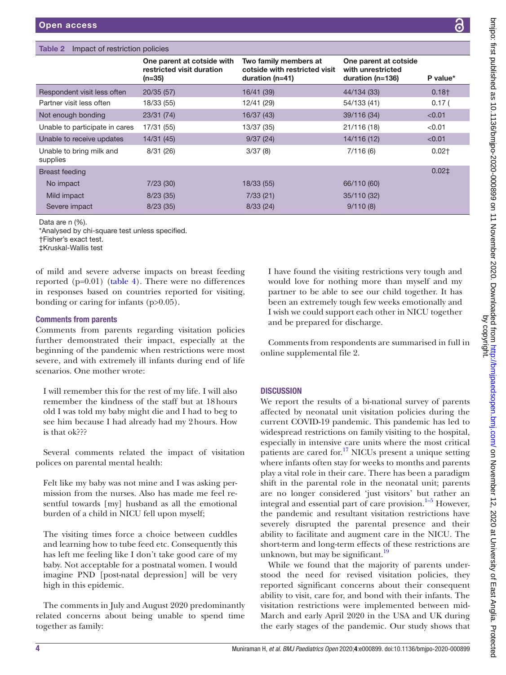# <span id="page-3-0"></span>Table 2 Impact of restriction policies

|                                      | One parent at cotside with<br>restricted visit duration<br>$(n=35)$ | Two family members at<br>cotside with restricted visit<br>duration $(n=41)$ | One parent at cotside<br>with unrestricted<br>duration $(n=136)$ | P value*          |
|--------------------------------------|---------------------------------------------------------------------|-----------------------------------------------------------------------------|------------------------------------------------------------------|-------------------|
| Respondent visit less often          | 20/35(57)                                                           | 16/41 (39)                                                                  | 44/134 (33)                                                      | $0.18+$           |
| Partner visit less often             | 18/33 (55)                                                          | 12/41 (29)                                                                  | 54/133 (41)                                                      | 0.17 <sub>0</sub> |
| Not enough bonding                   | 23/31 (74)                                                          | 16/37(43)                                                                   | 39/116 (34)                                                      | < 0.01            |
| Unable to participate in cares       | 17/31 (55)                                                          | 13/37 (35)                                                                  | 21/116 (18)                                                      | < 0.01            |
| Unable to receive updates            | 14/31 (45)                                                          | 9/37(24)                                                                    | 14/116 (12)                                                      | < 0.01            |
| Unable to bring milk and<br>supplies | 8/31(26)                                                            | 3/37(8)                                                                     | 7/116(6)                                                         | $0.02+$           |
| Breast feeding                       |                                                                     |                                                                             |                                                                  | $0.02+$           |
| No impact                            | 7/23(30)                                                            | 18/33 (55)                                                                  | 66/110 (60)                                                      |                   |
| Mild impact                          | 8/23(35)                                                            | 7/33(21)                                                                    | 35/110 (32)                                                      |                   |
| Severe impact                        | 8/23(35)                                                            | 8/33(24)                                                                    | 9/110(8)                                                         |                   |

Data are n (%).

\*Analysed by chi-square test unless specified.

†Fisher's exact test.

‡Kruskal-Wallis test

of mild and severe adverse impacts on breast feeding reported (p=0.01) [\(table](#page-5-1) 4). There were no differences in responses based on countries reported for visiting, bonding or caring for infants (p>0.05).

# Comments from parents

Comments from parents regarding visitation policies further demonstrated their impact, especially at the beginning of the pandemic when restrictions were most severe, and with extremely ill infants during end of life scenarios. One mother wrote:

I will remember this for the rest of my life. I will also remember the kindness of the staff but at 18hours old I was told my baby might die and I had to beg to see him because I had already had my 2hours. How is that ok???

Several comments related the impact of visitation polices on parental mental health:

Felt like my baby was not mine and I was asking permission from the nurses. Also has made me feel resentful towards [my] husband as all the emotional burden of a child in NICU fell upon myself;

The visiting times force a choice between cuddles and learning how to tube feed etc. Consequently this has left me feeling like I don't take good care of my baby. Not acceptable for a postnatal women. I would imagine PND [post-natal depression] will be very high in this epidemic.

The comments in July and August 2020 predominantly related concerns about being unable to spend time together as family:

I have found the visiting restrictions very tough and would love for nothing more than myself and my partner to be able to see our child together. It has been an extremely tough few weeks emotionally and I wish we could support each other in NICU together and be prepared for discharge.

Comments from respondents are summarised in full in [online supplemental file 2](https://dx.doi.org/10.1136/bmjpo-2020-000899).

# **DISCUSSION**

We report the results of a bi-national survey of parents affected by neonatal unit visitation policies during the current COVID-19 pandemic. This pandemic has led to widespread restrictions on family visiting to the hospital, especially in intensive care units where the most critical patients are cared for[.17](#page-7-7) NICUs present a unique setting where infants often stay for weeks to months and parents play a vital role in their care. There has been a paradigm shift in the parental role in the neonatal unit; parents are no longer considered 'just visitors' but rather an integral and essential part of care provision. $1-5$  However, the pandemic and resultant visitation restrictions have severely disrupted the parental presence and their ability to facilitate and augment care in the NICU. The short-term and long-term effects of these restrictions are unknown, but may be significant. $^{19}$ 

While we found that the majority of parents understood the need for revised visitation policies, they reported significant concerns about their consequent ability to visit, care for, and bond with their infants. The visitation restrictions were implemented between mid-March and early April 2020 in the USA and UK during the early stages of the pandemic. Our study shows that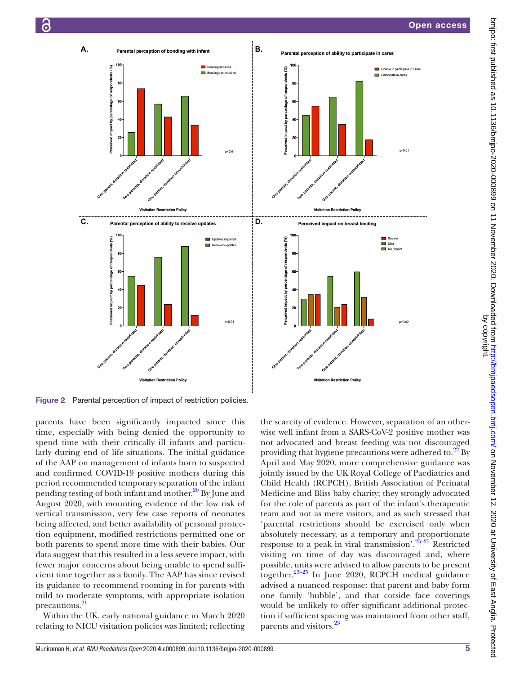Unable to participate in car

en n

on Policy

Ξ  $\blacksquare$  No im

Participate in care:



<span id="page-4-0"></span>Figure 2 Parental perception of impact of restriction policies.

parents have been significantly impacted since this time, especially with being denied the opportunity to spend time with their critically ill infants and particularly during end of life situations. The initial guidance of the AAP on management of infants born to suspected and confirmed COVID-19 positive mothers during this period recommended temporary separation of the infant pending testing of both infant and mother.<sup>[20](#page-7-9)</sup> By June and August 2020, with mounting evidence of the low risk of vertical transmission, very few case reports of neonates being affected, and better availability of personal protection equipment, modified restrictions permitted one or both parents to spend more time with their babies. Our data suggest that this resulted in a less severe impact, with fewer major concerns about being unable to spend sufficient time together as a family. The AAP has since revised its guidance to recommend rooming in for parents with mild to moderate symptoms, with appropriate isolation precautions.<sup>[21](#page-7-10)</sup>

Within the UK, early national guidance in March 2020 relating to NICU visitation policies was limited; reflecting

the scarcity of evidence. However, separation of an otherwise well infant from a SARS-CoV-2 positive mother was not advocated and breast feeding was not discouraged providing that hygiene precautions were adhered to.<sup>[22](#page-7-11)</sup> By April and May 2020, more comprehensive guidance was jointly issued by the UK Royal College of Paediatrics and Child Health (RCPCH), British Association of Perinatal Medicine and Bliss baby charity; they strongly advocated for the role of parents as part of the infant's therapeutic team and not as mere visitors, and as such stressed that 'parental restrictions should be exercised only when absolutely necessary, as a temporary and proportionate response to a peak in viral transmission'.<sup>23–25</sup> Restricted visiting on time of day was discouraged and, where possible, units were advised to allow parents to be present together.[23–25](#page-7-12) In June 2020, RCPCH medical guidance advised a nuanced response: that parent and baby form one family 'bubble', and that cotside face coverings would be unlikely to offer significant additional protection if sufficient spacing was maintained from other staff, parents and visitors.<sup>23</sup>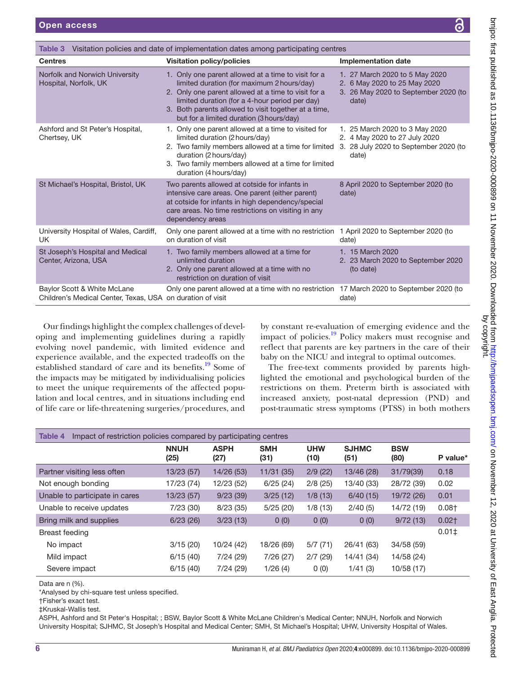Hospital, Norfolk, UK

Norfolk and Norwich University

|                            | entres |                                |  |  |  |
|----------------------------|--------|--------------------------------|--|--|--|
| <b>Implementation date</b> |        |                                |  |  |  |
|                            |        | 1. 27 March 2020 to 5 May 2020 |  |  |  |
|                            |        | 2. 6 May 2020 to 25 May 2020   |  |  |  |
|                            |        | 0.0011000010                   |  |  |  |

|                                                                                           | 2. Only one parent allowed at a time to visit for a<br>limited duration (for a 4-hour period per day)<br>3. Both parents allowed to visit together at a time,<br>but for a limited duration (3 hours/day)                                               | 3. 26 May 2020 to September 2020 (to<br>date)                                                                     |
|-------------------------------------------------------------------------------------------|---------------------------------------------------------------------------------------------------------------------------------------------------------------------------------------------------------------------------------------------------------|-------------------------------------------------------------------------------------------------------------------|
| Ashford and St Peter's Hospital,<br>Chertsey, UK                                          | 1. Only one parent allowed at a time to visited for<br>limited duration (2 hours/day)<br>2. Two family members allowed at a time for limited<br>duration (2 hours/day)<br>3. Two family members allowed at a time for limited<br>duration (4 hours/day) | 1. 25 March 2020 to 3 May 2020<br>2. 4 May 2020 to 27 July 2020<br>3. 28 July 2020 to September 2020 (to<br>date) |
| St Michael's Hospital, Bristol, UK                                                        | Two parents allowed at cotside for infants in<br>intensive care areas. One parent (either parent)<br>at cotside for infants in high dependency/special<br>care areas. No time restrictions on visiting in any<br>dependency areas                       | 8 April 2020 to September 2020 (to<br>date)                                                                       |
| University Hospital of Wales, Cardiff,<br>UK.                                             | Only one parent allowed at a time with no restriction<br>on duration of visit                                                                                                                                                                           | 1 April 2020 to September 2020 (to<br>date)                                                                       |
| St Joseph's Hospital and Medical<br>Center, Arizona, USA                                  | 1. Two family members allowed at a time for<br>unlimited duration<br>2. Only one parent allowed at a time with no<br>restriction on duration of visit                                                                                                   | 1. 15 March 2020<br>2. 23 March 2020 to September 2020<br>(to date)                                               |
| Baylor Scott & White McLane<br>Children's Medical Center, Texas, USA on duration of visit | Only one parent allowed at a time with no restriction 17 March 2020 to September 2020 (to                                                                                                                                                               | date)                                                                                                             |

1. Only one parent allowed at a time to visit for a limited duration (for maximum 2hours/day)

<span id="page-5-0"></span>Table 3 Visitation policies and date of implementation dates among participating c

Centres **Visitation policy/policies** 

Our findings highlight the complex challenges of developing and implementing guidelines during a rapidly evolving novel pandemic, with limited evidence and experience available, and the expected tradeoffs on the established standard of care and its benefits.<sup>19</sup> Some of the impacts may be mitigated by individualising policies to meet the unique requirements of the affected population and local centres, and in situations including end of life care or life-threatening surgeries/procedures, and

by constant re-evaluation of emerging evidence and the impact of policies[.19](#page-7-8) Policy makers must recognise and reflect that parents are key partners in the care of their baby on the NICU and integral to optimal outcomes.

The free-text comments provided by parents highlighted the emotional and psychological burden of the restrictions on them. Preterm birth is associated with increased anxiety, post-natal depression (PND) and post-traumatic stress symptoms (PTSS) in both mothers

<span id="page-5-1"></span>

| Impact of restriction policies compared by participating centres<br>Table 4 |                     |                     |                    |                    |                      |                    |          |
|-----------------------------------------------------------------------------|---------------------|---------------------|--------------------|--------------------|----------------------|--------------------|----------|
|                                                                             | <b>NNUH</b><br>(25) | <b>ASPH</b><br>(27) | <b>SMH</b><br>(31) | <b>UHW</b><br>(10) | <b>SJHMC</b><br>(51) | <b>BSW</b><br>(80) | P value* |
| Partner visiting less often                                                 | 13/23(57)           | 14/26(53)           | 11/31(35)          | 2/9(22)            | 13/46 (28)           | 31/79(39)          | 0.18     |
| Not enough bonding                                                          | 17/23 (74)          | 12/23 (52)          | 6/25(24)           | 2/8(25)            | 13/40 (33)           | 28/72 (39)         | 0.02     |
| Unable to participate in cares                                              | 13/23(57)           | 9/23(39)            | 3/25(12)           | 1/8(13)            | 6/40(15)             | 19/72 (26)         | 0.01     |
| Unable to receive updates                                                   | 7/23(30)            | 8/23(35)            | 5/25(20)           | 1/8(13)            | 2/40(5)              | 14/72 (19)         | $0.08+$  |
| Bring milk and supplies                                                     | 6/23(26)            | 3/23(13)            | 0(0)               | 0(0)               | 0(0)                 | 9/72(13)           | $0.02+$  |
| Breast feeding                                                              |                     |                     |                    |                    |                      |                    | 0.01     |
| No impact                                                                   | 3/15(20)            | 10/24 (42)          | 18/26 (69)         | 5/7(71)            | 26/41 (63)           | 34/58 (59)         |          |
| Mild impact                                                                 | 6/15(40)            | 7/24(29)            | 7/26(27)           | 2/7(29)            | 14/41 (34)           | 14/58 (24)         |          |
| Severe impact                                                               | 6/15(40)            | 7/24 (29)           | 1/26(4)            | 0(0)               | 1/41(3)              | 10/58 (17)         |          |

Data are n (%).

\*Analysed by chi-square test unless specified.

ASPH, Ashford and St Peter's Hospital; ; BSW, Baylor Scott & White McLane Children's Medical Center; NNUH, Norfolk and Norwich University Hospital; SJHMC, St Joseph's Hospital and Medical Center; SMH, St Michael's Hospital; UHW, University Hospital of Wales.

<sup>†</sup>Fisher's exact test.

<sup>‡</sup>Kruskal-Wallis test.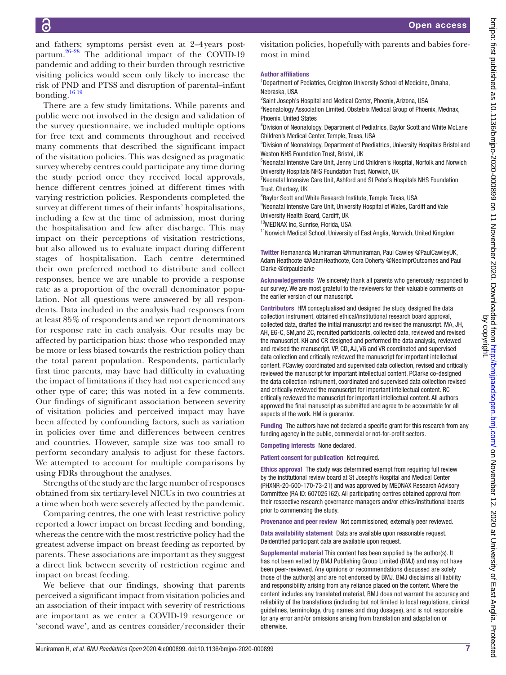and fathers; symptoms persist even at 2–4years postpartum.[26–28](#page-7-13) The additional impact of the COVID-19 pandemic and adding to their burden through restrictive visiting policies would seem only likely to increase the risk of PND and PTSS and disruption of parental–infant bonding.<sup>[16 19](#page-7-6)</sup>

There are a few study limitations. While parents and public were not involved in the design and validation of the survey questionnaire, we included multiple options for free text and comments throughout and received many comments that described the significant impact of the visitation policies. This was designed as pragmatic survey whereby centres could participate any time during the study period once they received local approvals, hence different centres joined at different times with varying restriction policies. Respondents completed the survey at different times of their infants' hospitalisations, including a few at the time of admission, most during the hospitalisation and few after discharge. This may impact on their perceptions of visitation restrictions, but also allowed us to evaluate impact during different stages of hospitalisation. Each centre determined their own preferred method to distribute and collect responses, hence we are unable to provide a response rate as a proportion of the overall denominator population. Not all questions were answered by all respondents. Data included in the analysis had responses from at least 85% of respondents and we report denominators for response rate in each analysis. Our results may be affected by participation bias: those who responded may be more or less biased towards the restriction policy than the total parent population. Respondents, particularly first time parents, may have had difficulty in evaluating the impact of limitations if they had not experienced any other type of care; this was noted in a few comments. Our findings of significant association between severity of visitation policies and perceived impact may have been affected by confounding factors, such as variation in policies over time and differences between centres and countries. However, sample size was too small to perform secondary analysis to adjust for these factors. We attempted to account for multiple comparisons by using FDRs throughout the analyses.

Strengths of the study are the large number of responses obtained from six tertiary-level NICUs in two countries at a time when both were severely affected by the pandemic.

Comparing centres, the one with least restrictive policy reported a lower impact on breast feeding and bonding, whereas the centre with the most restrictive policy had the greatest adverse impact on breast feeding as reported by parents. These associations are important as they suggest a direct link between severity of restriction regime and impact on breast feeding.

We believe that our findings, showing that parents perceived a significant impact from visitation policies and an association of their impact with severity of restrictions are important as we enter a COVID-19 resurgence or 'second wave', and as centres consider/reconsider their

visitation policies, hopefully with parents and babies foremost in mind

#### Author affiliations

<sup>1</sup>Department of Pediatrics, Creighton University School of Medicine, Omaha, Nebraska, USA

2 Saint Joseph's Hospital and Medical Center, Phoenix, Arizona, USA

<sup>3</sup>Neonatology Association Limited, Obstetrix Medical Group of Phoenix, Mednax, Phoenix, United States

4 Division of Neonatology, Department of Pediatrics, Baylor Scott and White McLane Children's Medical Center, Temple, Texas, USA

5 Division of Neonatology, Department of Paediatrics, University Hospitals Bristol and Weston NHS Foundation Trust, Bristol, UK

<sup>6</sup>Neonatal Intensive Care Unit, Jenny Lind Children's Hospital, Norfolk and Norwich University Hospitals NHS Foundation Trust, Norwich, UK

<sup>7</sup> Neonatal Intensive Care Unit, Ashford and St Peter's Hospitals NHS Foundation Trust, Chertsey, UK

8 Baylor Scott and White Research Institute, Temple, Texas, USA

<sup>9</sup>Neonatal Intensive Care Unit, University Hospital of Wales, Cardiff and Vale University Health Board, Cardiff, UK

10MEDNAX Inc, Sunrise, Florida, USA

<sup>11</sup>Norwich Medical School, University of East Anglia, Norwich, United Kingdom

Twitter Hemananda Muniraman [@hmuniraman](https://twitter.com/hmuniraman), Paul Cawley [@PaulCawleyUK](https://twitter.com/PaulCawleyUK), Adam Heathcote [@AdamHeathcote,](https://twitter.com/AdamHeathcote) Cora Doherty [@NeoImprOutcomes](https://twitter.com/NeoImprOutcomes) and Paul Clarke [@drpaulclarke](https://twitter.com/drpaulclarke)

Acknowledgements We sincerely thank all parents who generously responded to our survey. We are most grateful to the reviewers for their valuable comments on the earlier version of our manuscript.

Contributors HM conceptualised and designed the study, designed the data collection instrument, obtained ethical/institutional research board approval, collected data, drafted the initial manuscript and revised the manuscript. MA, JH, AH, EG-C, SM,and ZC, recruited participants, collected data, reviewed and revised the manuscript. KH and CR designed and performed the data analysis, reviewed and revised the manuscript. VP, CD, AJ, VG and VR coordinated and supervised data collection and critically reviewed the manuscript for important intellectual content. PCawley coordinated and supervised data collection, revised and critically reviewed the manuscript for important intellectual content. PClarke co-designed the data collection instrument, coordinated and supervised data collection revised and critically reviewed the manuscript for important intellectual content. RC critically reviewed the manuscript for important intellectual content. All authors approved the final manuscript as submitted and agree to be accountable for all aspects of the work. HM is guarantor.

Funding The authors have not declared a specific grant for this research from any funding agency in the public, commercial or not-for-profit sectors.

Competing interests None declared.

Patient consent for publication Not required.

Ethics approval The study was determined exempt from requiring full review by the institutional review board at St Joseph's Hospital and Medical Center (PHXNR-20-500-170-73-21) and was approved by MEDNAX Research Advisory Committee (RA ID: 607025162). All participating centres obtained approval from their respective research governance managers and/or ethics/institutional boards prior to commencing the study.

Provenance and peer review Not commissioned; externally peer reviewed.

Data availability statement Data are available upon reasonable request. Deidentified participant data are available upon request.

Supplemental material This content has been supplied by the author(s). It has not been vetted by BMJ Publishing Group Limited (BMJ) and may not have been peer-reviewed. Any opinions or recommendations discussed are solely those of the author(s) and are not endorsed by BMJ. BMJ disclaims all liability and responsibility arising from any reliance placed on the content. Where the content includes any translated material, BMJ does not warrant the accuracy and reliability of the translations (including but not limited to local regulations, clinical guidelines, terminology, drug names and drug dosages), and is not responsible for any error and/or omissions arising from translation and adaptation or otherwise.